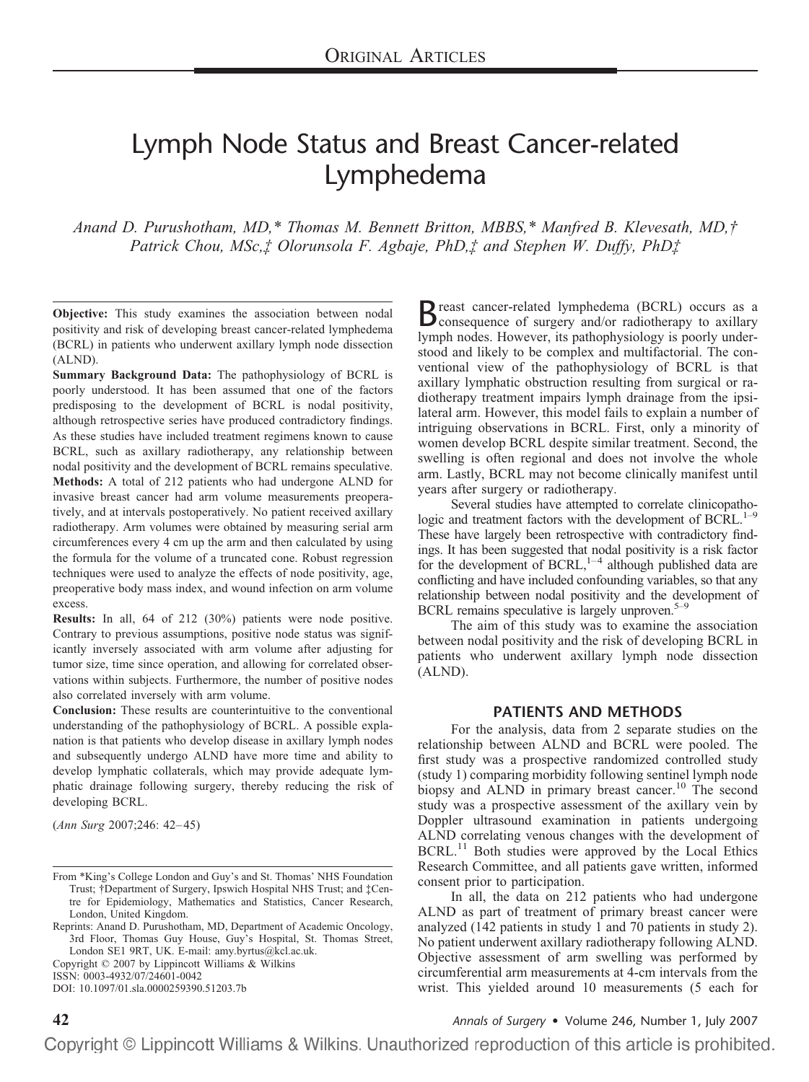# Lymph Node Status and Breast Cancer-related Lymphedema

*Anand D. Purushotham, MD,\* Thomas M. Bennett Britton, MBBS,\* Manfred B. Klevesath, MD,† Patrick Chou, MSc,‡ Olorunsola F. Agbaje, PhD,‡ and Stephen W. Duffy, PhD‡*

**Objective:** This study examines the association between nodal positivity and risk of developing breast cancer-related lymphedema (BCRL) in patients who underwent axillary lymph node dissection (ALND).

**Summary Background Data:** The pathophysiology of BCRL is poorly understood. It has been assumed that one of the factors predisposing to the development of BCRL is nodal positivity, although retrospective series have produced contradictory findings. As these studies have included treatment regimens known to cause BCRL, such as axillary radiotherapy, any relationship between nodal positivity and the development of BCRL remains speculative. **Methods:** A total of 212 patients who had undergone ALND for invasive breast cancer had arm volume measurements preoperatively, and at intervals postoperatively. No patient received axillary radiotherapy. Arm volumes were obtained by measuring serial arm circumferences every 4 cm up the arm and then calculated by using the formula for the volume of a truncated cone. Robust regression techniques were used to analyze the effects of node positivity, age, preoperative body mass index, and wound infection on arm volume excess.

**Results:** In all, 64 of 212 (30%) patients were node positive. Contrary to previous assumptions, positive node status was significantly inversely associated with arm volume after adjusting for tumor size, time since operation, and allowing for correlated observations within subjects. Furthermore, the number of positive nodes also correlated inversely with arm volume.

**Conclusion:** These results are counterintuitive to the conventional understanding of the pathophysiology of BCRL. A possible explanation is that patients who develop disease in axillary lymph nodes and subsequently undergo ALND have more time and ability to develop lymphatic collaterals, which may provide adequate lymphatic drainage following surgery, thereby reducing the risk of developing BCRL.

(*Ann Surg* 2007;246: 42– 45)

Copyright © 2007 by Lippincott Williams & Wilkins

ISSN: 0003-4932/07/24601-0042

DOI: 10.1097/01.sla.0000259390.51203.7b

Breast cancer-related lymphedema (BCRL) occurs as a<br>consequence of surgery and/or radiotherapy to axillary lymph nodes. However, its pathophysiology is poorly understood and likely to be complex and multifactorial. The conventional view of the pathophysiology of BCRL is that axillary lymphatic obstruction resulting from surgical or radiotherapy treatment impairs lymph drainage from the ipsilateral arm. However, this model fails to explain a number of intriguing observations in BCRL. First, only a minority of women develop BCRL despite similar treatment. Second, the swelling is often regional and does not involve the whole arm. Lastly, BCRL may not become clinically manifest until years after surgery or radiotherapy.

Several studies have attempted to correlate clinicopathologic and treatment factors with the development of BCRL.<sup>1–9</sup> These have largely been retrospective with contradictory findings. It has been suggested that nodal positivity is a risk factor for the development of BCRL, $1-4$  although published data are conflicting and have included confounding variables, so that any relationship between nodal positivity and the development of BCRL remains speculative is largely unproven. $5-9$ 

The aim of this study was to examine the association between nodal positivity and the risk of developing BCRL in patients who underwent axillary lymph node dissection (ALND).

# **PATIENTS AND METHODS**

For the analysis, data from 2 separate studies on the relationship between ALND and BCRL were pooled. The first study was a prospective randomized controlled study (study 1) comparing morbidity following sentinel lymph node biopsy and ALND in primary breast cancer.<sup>10</sup> The second study was a prospective assessment of the axillary vein by Doppler ultrasound examination in patients undergoing ALND correlating venous changes with the development of BCRL.<sup>11</sup> Both studies were approved by the Local Ethics Research Committee, and all patients gave written, informed consent prior to participation.

In all, the data on 212 patients who had undergone ALND as part of treatment of primary breast cancer were analyzed (142 patients in study 1 and 70 patients in study 2). No patient underwent axillary radiotherapy following ALND. Objective assessment of arm swelling was performed by circumferential arm measurements at 4-cm intervals from the wrist. This yielded around 10 measurements (5 each for

**42** *Annals of Surgery* • Volume 246, Number 1, July 2007

Copyright © Lippincott Williams & Wilkins. Unauthorized reproduction of this article is prohibited.

From \*King's College London and Guy's and St. Thomas' NHS Foundation Trust; †Department of Surgery, Ipswich Hospital NHS Trust; and ‡Centre for Epidemiology, Mathematics and Statistics, Cancer Research, London, United Kingdom.

Reprints: Anand D. Purushotham, MD, Department of Academic Oncology, 3rd Floor, Thomas Guy House, Guy's Hospital, St. Thomas Street, London SE1 9RT, UK. E-mail: amy.byrtus@kcl.ac.uk.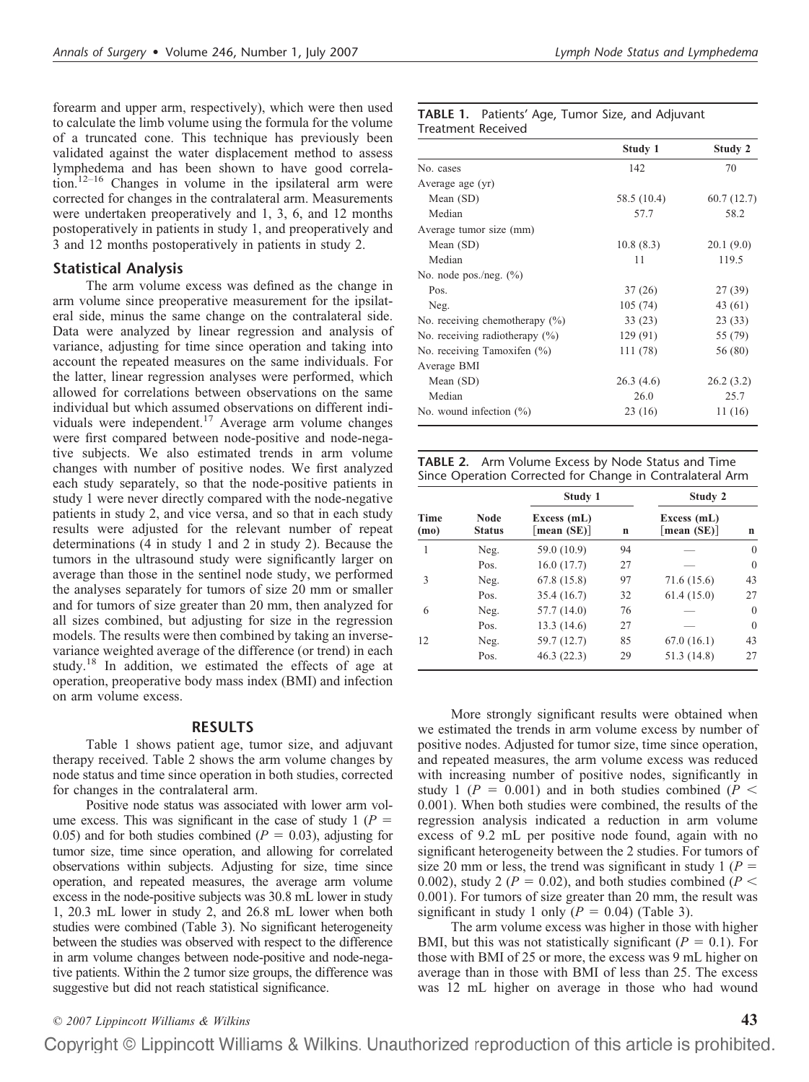forearm and upper arm, respectively), which were then used to calculate the limb volume using the formula for the volume of a truncated cone. This technique has previously been validated against the water displacement method to assess lymphedema and has been shown to have good correlation.<sup>12–16</sup> Changes in volume in the ipsilateral arm were corrected for changes in the contralateral arm. Measurements were undertaken preoperatively and 1, 3, 6, and 12 months postoperatively in patients in study 1, and preoperatively and 3 and 12 months postoperatively in patients in study 2.

# **Statistical Analysis**

The arm volume excess was defined as the change in arm volume since preoperative measurement for the ipsilateral side, minus the same change on the contralateral side. Data were analyzed by linear regression and analysis of variance, adjusting for time since operation and taking into account the repeated measures on the same individuals. For the latter, linear regression analyses were performed, which allowed for correlations between observations on the same individual but which assumed observations on different individuals were independent.<sup>17</sup> Average arm volume changes were first compared between node-positive and node-negative subjects. We also estimated trends in arm volume changes with number of positive nodes. We first analyzed each study separately, so that the node-positive patients in study 1 were never directly compared with the node-negative patients in study 2, and vice versa, and so that in each study results were adjusted for the relevant number of repeat determinations (4 in study 1 and 2 in study 2). Because the tumors in the ultrasound study were significantly larger on average than those in the sentinel node study, we performed the analyses separately for tumors of size 20 mm or smaller and for tumors of size greater than 20 mm, then analyzed for all sizes combined, but adjusting for size in the regression models. The results were then combined by taking an inversevariance weighted average of the difference (or trend) in each study.<sup>18</sup> In addition, we estimated the effects of age at operation, preoperative body mass index (BMI) and infection on arm volume excess.

# **RESULTS**

Table 1 shows patient age, tumor size, and adjuvant therapy received. Table 2 shows the arm volume changes by node status and time since operation in both studies, corrected for changes in the contralateral arm.

Positive node status was associated with lower arm volume excess. This was significant in the case of study  $1 (P =$ 0.05) and for both studies combined  $(P = 0.03)$ , adjusting for tumor size, time since operation, and allowing for correlated observations within subjects. Adjusting for size, time since operation, and repeated measures, the average arm volume excess in the node-positive subjects was 30.8 mL lower in study 1, 20.3 mL lower in study 2, and 26.8 mL lower when both studies were combined (Table 3). No significant heterogeneity between the studies was observed with respect to the difference in arm volume changes between node-positive and node-negative patients. Within the 2 tumor size groups, the difference was suggestive but did not reach statistical significance.

| No. cases               | 142         | 70        |  |
|-------------------------|-------------|-----------|--|
| Average age (yr)        |             |           |  |
| Mean $(SD)$             | 58.5 (10.4) | 60.7 (12) |  |
| Median                  | 57 7        | 58.2      |  |
| Average tumor size (mm) |             |           |  |

Treatment Received

**TABLE 1.** Patients' Age, Tumor Size, and Adjuvant

| Average tumor size (mm)        |           |           |
|--------------------------------|-----------|-----------|
| Mean (SD)                      | 10.8(8.3) | 20.1(9.0) |
| Median                         | 11        | 119.5     |
| No. node pos./neg. $(\%)$      |           |           |
| Pos.                           | 37(26)    | 27(39)    |
| Neg.                           | 105(74)   | 43 (61)   |
| No. receiving chemotherapy (%) | 33(23)    | 23(33)    |
| No. receiving radiotherapy (%) | 129 (91)  | 55 (79)   |
| No. receiving Tamoxifen (%)    | 111 (78)  | 56 (80)   |
| Average BMI                    |           |           |
| Mean (SD)                      | 26.3(4.6) | 26.2(3.2) |
| Median                         | 26.0      | 25.7      |
| No. wound infection (%)        | 23(16)    | 11 (16)   |
|                                |           |           |

**TABLE 2.** Arm Volume Excess by Node Status and Time Since Operation Corrected for Change in Contralateral Arm

| <b>Time</b><br>(mo) |                       | Study 1                    |    | Study 2                    |          |
|---------------------|-----------------------|----------------------------|----|----------------------------|----------|
|                     | Node<br><b>Status</b> | Excess (mL)<br>[mean (SE)] | n  | Excess (mL)<br>[mean (SE)] | n        |
| 1                   | Neg.                  | 59.0 (10.9)                | 94 |                            | $\Omega$ |
|                     | Pos.                  | 16.0(17.7)                 | 27 |                            | $\Omega$ |
| 3                   | Neg.                  | 67.8(15.8)                 | 97 | 71.6 (15.6)                | 43       |
|                     | Pos.                  | 35.4 (16.7)                | 32 | 61.4(15.0)                 | 27       |
| 6                   | Neg.                  | 57.7(14.0)                 | 76 |                            | $\Omega$ |
|                     | Pos.                  | 13.3(14.6)                 | 27 |                            | $\theta$ |
| 12                  | Neg.                  | 59.7 (12.7)                | 85 | 67.0(16.1)                 | 43       |
|                     | Pos.                  | 46.3(22.3)                 | 29 | 51.3 (14.8)                | 27       |

More strongly significant results were obtained when we estimated the trends in arm volume excess by number of positive nodes. Adjusted for tumor size, time since operation, and repeated measures, the arm volume excess was reduced with increasing number of positive nodes, significantly in study 1 ( $P = 0.001$ ) and in both studies combined ( $P <$ 0.001). When both studies were combined, the results of the regression analysis indicated a reduction in arm volume excess of 9.2 mL per positive node found, again with no significant heterogeneity between the 2 studies. For tumors of size 20 mm or less, the trend was significant in study 1 ( $P =$ 0.002), study 2 ( $P = 0.02$ ), and both studies combined ( $P <$ 0.001). For tumors of size greater than 20 mm, the result was significant in study 1 only  $(P = 0.04)$  (Table 3).

The arm volume excess was higher in those with higher BMI, but this was not statistically significant ( $P = 0.1$ ). For those with BMI of 25 or more, the excess was 9 mL higher on average than in those with BMI of less than 25. The excess was 12 mL higher on average in those who had wound

**Study 1 Study 2**

 $60.7(12.7)$ 

# *© 2007 Lippincott Williams & Wilkins* **43**

Copyright © Lippincott Williams & Wilkins. Unauthorized reproduction of this article is prohibited.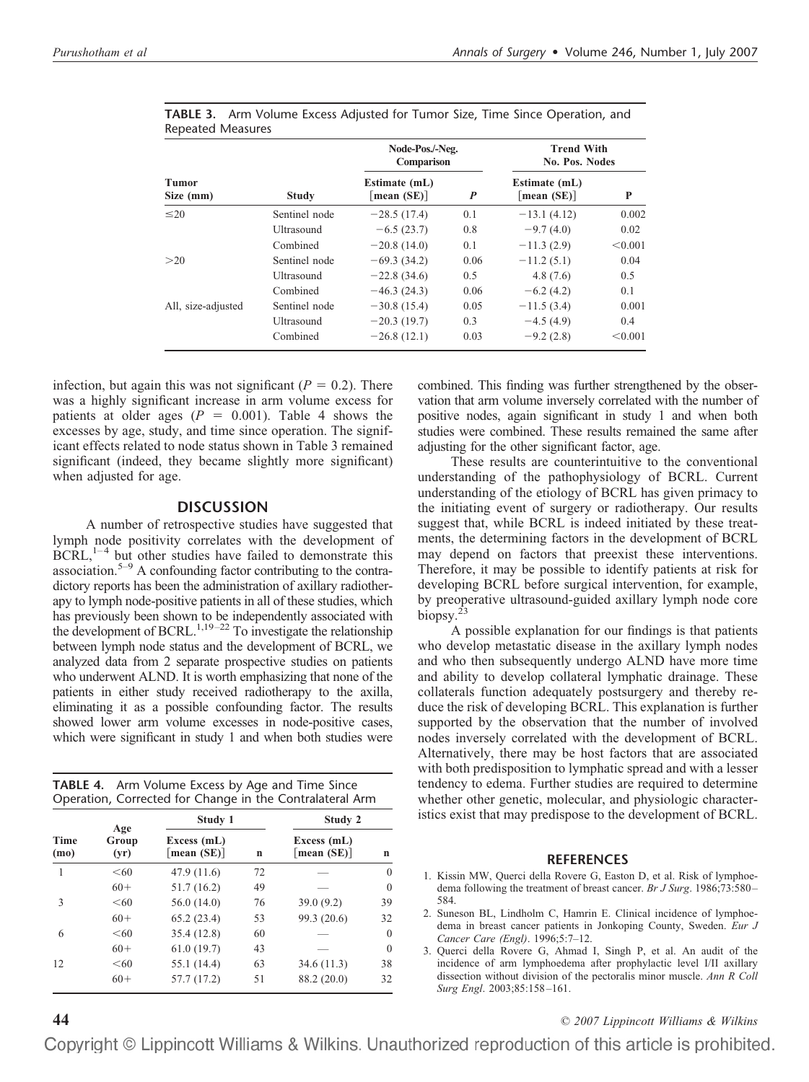|                           |                   | Node-Pos./-Neg.<br>Comparison |                  | <b>Trend With</b><br>No. Pos. Nodes |         |  |
|---------------------------|-------------------|-------------------------------|------------------|-------------------------------------|---------|--|
| <b>Tumor</b><br>Size (mm) | <b>Study</b>      | Estimate (mL)<br>[mean (SE)]  | $\boldsymbol{P}$ | Estimate (mL)<br>mean (SE)          | P       |  |
| $\leq 20$                 | Sentinel node     | $-28.5(17.4)$                 | 0.1              | $-13.1(4.12)$                       | 0.002   |  |
|                           | <b>Ultrasound</b> | $-6.5(23.7)$                  | 0.8              | $-9.7(4.0)$                         | 0.02    |  |
|                           | Combined          | $-20.8(14.0)$                 | 0.1              | $-11.3(2.9)$                        | < 0.001 |  |
| >20                       | Sentinel node     | $-69.3(34.2)$                 | 0.06             | $-11.2(5.1)$                        | 0.04    |  |
|                           | <b>Ultrasound</b> | $-22.8(34.6)$                 | 0.5              | 4.8(7.6)                            | 0.5     |  |
|                           | Combined          | $-46.3(24.3)$                 | 0.06             | $-6.2(4.2)$                         | 0.1     |  |
| All, size-adjusted        | Sentinel node     | $-30.8(15.4)$                 | 0.05             | $-11.5(3.4)$                        | 0.001   |  |
|                           | Ultrasound        | $-20.3(19.7)$                 | 0.3              | $-4.5(4.9)$                         | 0.4     |  |
|                           | Combined          | $-26.8(12.1)$                 | 0.03             | $-9.2(2.8)$                         | < 0.001 |  |

|                   | TABLE 3. Arm Volume Excess Adjusted for Tumor Size, Time Since Operation, and |  |  |  |  |
|-------------------|-------------------------------------------------------------------------------|--|--|--|--|
| Repeated Measures |                                                                               |  |  |  |  |

infection, but again this was not significant  $(P = 0.2)$ . There was a highly significant increase in arm volume excess for patients at older ages  $(P = 0.001)$ . Table 4 shows the excesses by age, study, and time since operation. The significant effects related to node status shown in Table 3 remained significant (indeed, they became slightly more significant) when adjusted for age.

### **DISCUSSION**

A number of retrospective studies have suggested that lymph node positivity correlates with the development of  $\text{BCRL}$ ,<sup>1-4</sup> but other studies have failed to demonstrate this association. $5-9$  A confounding factor contributing to the contradictory reports has been the administration of axillary radiotherapy to lymph node-positive patients in all of these studies, which has previously been shown to be independently associated with the development of BCRL.<sup>1,19–22</sup> To investigate the relationship between lymph node status and the development of BCRL, we analyzed data from 2 separate prospective studies on patients who underwent ALND. It is worth emphasizing that none of the patients in either study received radiotherapy to the axilla, eliminating it as a possible confounding factor. The results showed lower arm volume excesses in node-positive cases, which were significant in study 1 and when both studies were

| TABLE 4. Arm Volume Excess by Age and Time Since         |
|----------------------------------------------------------|
| Operation, Corrected for Change in the Contralateral Arm |

|                                  |                      | Study 1                    |             | Study 2                    |              |  |
|----------------------------------|----------------------|----------------------------|-------------|----------------------------|--------------|--|
| <b>Time</b><br>(m <sub>0</sub> ) | Age<br>Group<br>(yr) | Excess (mL)<br>[mean (SE)] | $\mathbf n$ | Excess (mL)<br>[mean (SE)] | n            |  |
| 1                                | < 60                 | 47.9 (11.6)                | 72          |                            | $\mathbf{0}$ |  |
|                                  | $60+$                | 51.7(16.2)                 | 49          |                            | $\Omega$     |  |
| 3                                | < 60                 | 56.0(14.0)                 | 76          | 39.0(9.2)                  | 39           |  |
|                                  | $60+$                | 65.2(23.4)                 | 53          | 99.3 (20.6)                | 32           |  |
| 6                                | < 60                 | 35.4 (12.8)                | 60          |                            | $\mathbf{0}$ |  |
|                                  | $60+$                | 61.0(19.7)                 | 43          |                            | $\theta$     |  |
| 12                               | < 60                 | 55.1 (14.4)                | 63          | 34.6 (11.3)                | 38           |  |
|                                  | $60+$                | 57.7 (17.2)                | 51          | 88.2 (20.0)                | 32           |  |

combined. This finding was further strengthened by the observation that arm volume inversely correlated with the number of positive nodes, again significant in study 1 and when both studies were combined. These results remained the same after adjusting for the other significant factor, age.

These results are counterintuitive to the conventional understanding of the pathophysiology of BCRL. Current understanding of the etiology of BCRL has given primacy to the initiating event of surgery or radiotherapy. Our results suggest that, while BCRL is indeed initiated by these treatments, the determining factors in the development of BCRL may depend on factors that preexist these interventions. Therefore, it may be possible to identify patients at risk for developing BCRL before surgical intervention, for example, by preoperative ultrasound-guided axillary lymph node core biopsy. $<sup>2</sup>$ </sup>

A possible explanation for our findings is that patients who develop metastatic disease in the axillary lymph nodes and who then subsequently undergo ALND have more time and ability to develop collateral lymphatic drainage. These collaterals function adequately postsurgery and thereby reduce the risk of developing BCRL. This explanation is further supported by the observation that the number of involved nodes inversely correlated with the development of BCRL. Alternatively, there may be host factors that are associated with both predisposition to lymphatic spread and with a lesser tendency to edema. Further studies are required to determine whether other genetic, molecular, and physiologic characteristics exist that may predispose to the development of BCRL.

### **REFERENCES**

- 1. Kissin MW, Querci della Rovere G, Easton D, et al. Risk of lymphoedema following the treatment of breast cancer. *Br J Surg*. 1986;73:580 – 584.
- 2. Suneson BL, Lindholm C, Hamrin E. Clinical incidence of lymphoedema in breast cancer patients in Jonkoping County, Sweden. *Eur J Cancer Care (Engl)*. 1996;5:7–12.

3. Querci della Rovere G, Ahmad I, Singh P, et al. An audit of the incidence of arm lymphoedema after prophylactic level I/II axillary dissection without division of the pectoralis minor muscle. *Ann R Coll Surg Engl*. 2003;85:158 –161.

**44** *© 2007 Lippincott Williams & Wilkins*

Copyright © Lippincott Williams & Wilkins. Unauthorized reproduction of this article is prohibited.